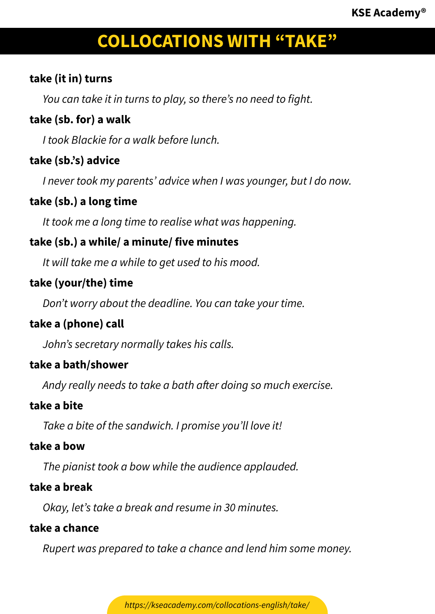## **take (it in) turns**

*You can take it in turns to play, so there's no need to fight.*

## **take (sb. for) a walk**

*I took Blackie for a walk before lunch.*

## **take (sb.'s) advice**

*I never took my parents' advice when I was younger, but I do now.*

## **take (sb.) a long time**

*It took me a long time to realise what was happening.*

## **take (sb.) a while/ a minute/ five minutes**

*It will take me a while to get used to his mood.*

## **take (your/the) time**

*Don't worry about the deadline. You can take your time.*

## **take a (phone) call**

*John's secretary normally takes his calls.*

## **take a bath/shower**

*Andy really needs to take a bath after doing so much exercise.*

## **take a bite**

*Take a bite of the sandwich. I promise you'll love it!*

#### **take a bow**

*The pianist took a bow while the audience applauded.*

## **take a break**

*Okay, let's take a break and resume in 30 minutes.*

## **take a chance**

*Rupert was prepared to take a chance and lend him some money.*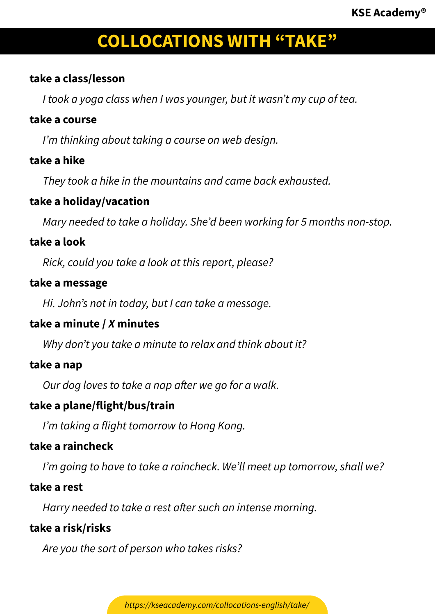#### **take a class/lesson**

*I took a yoga class when I was younger, but it wasn't my cup of tea.*

#### **take a course**

*I'm thinking about taking a course on web design.*

#### **take a hike**

*They took a hike in the mountains and came back exhausted.*

#### **take a holiday/vacation**

*Mary needed to take a holiday. She'd been working for 5 months non-stop.*

#### **take a look**

*Rick, could you take a look at this report, please?*

#### **take a message**

*Hi. John's not in today, but I can take a message.*

## **take a minute /** *X* **minutes**

*Why don't you take a minute to relax and think about it?*

#### **take a nap**

*Our dog loves to take a nap after we go for a walk.*

## **take a plane/flight/bus/train**

*I'm taking a flight tomorrow to Hong Kong.*

## **take a raincheck**

*I'm going to have to take a raincheck. We'll meet up tomorrow, shall we?*

#### **take a rest**

*Harry needed to take a rest after such an intense morning.*

#### **take a risk/risks**

*Are you the sort of person who takes risks?*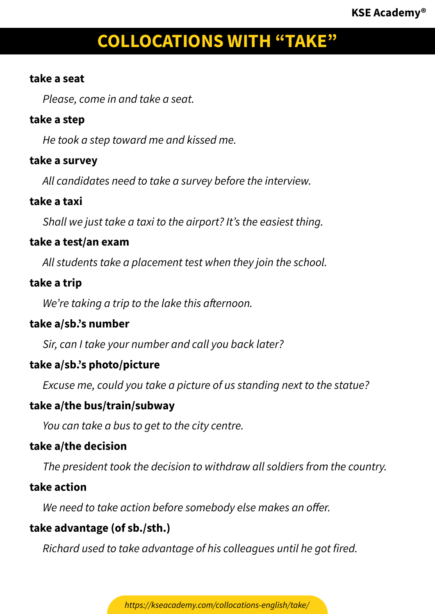#### **take a seat**

*Please, come in and take a seat.*

#### **take a step**

*He took a step toward me and kissed me.*

#### **take a survey**

*All candidates need to take a survey before the interview.*

#### **take a taxi**

*Shall we just take a taxi to the airport? It's the easiest thing.*

#### **take a test/an exam**

*All students take a placement test when they join the school.*

#### **take a trip**

*We're taking a trip to the lake this afternoon.*

#### **take a/sb.'s number**

*Sir, can I take your number and call you back later?*

#### **take a/sb.'s photo/picture**

*Excuse me, could you take a picture of us standing next to the statue?*

#### **take a/the bus/train/subway**

*You can take a bus to get to the city centre.*

#### **take a/the decision**

*The president took the decision to withdraw all soldiers from the country.*

#### **take action**

*We need to take action before somebody else makes an offer.*

#### **take advantage (of sb./sth.)**

*Richard used to take advantage of his colleagues until he got fired.*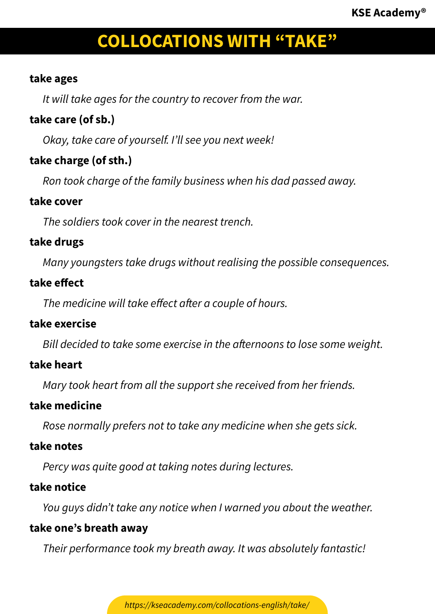#### **take ages**

*It will take ages for the country to recover from the war.*

## **take care (of sb.)**

*Okay, take care of yourself. I'll see you next week!*

## **take charge (of sth.)**

*Ron took charge of the family business when his dad passed away.*

#### **take cover**

*The soldiers took cover in the nearest trench.*

## **take drugs**

*Many youngsters take drugs without realising the possible consequences.*

## **take effect**

*The medicine will take effect after a couple of hours.*

## **take exercise**

*Bill decided to take some exercise in the afternoons to lose some weight.*

## **take heart**

*Mary took heart from all the support she received from her friends.*

## **take medicine**

*Rose normally prefers not to take any medicine when she gets sick.*

## **take notes**

*Percy was quite good at taking notes during lectures.*

## **take notice**

*You guys didn't take any notice when I warned you about the weather.*

## **take one's breath away**

*Their performance took my breath away. It was absolutely fantastic!*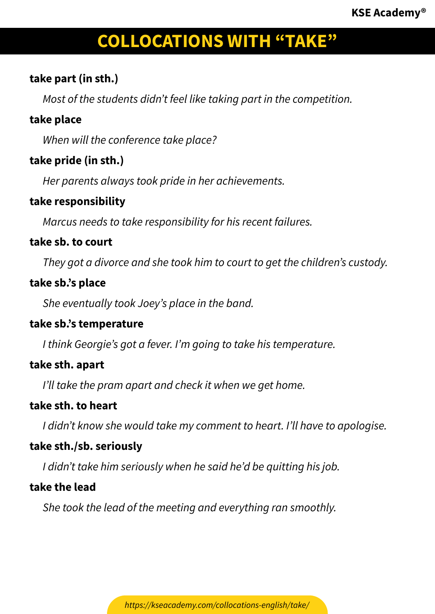## **take part (in sth.)**

*Most of the students didn't feel like taking part in the competition.*

## **take place**

*When will the conference take place?*

## **take pride (in sth.)**

*Her parents always took pride in her achievements.*

## **take responsibility**

*Marcus needs to take responsibility for his recent failures.*

## **take sb. to court**

*They got a divorce and she took him to court to get the children's custody.*

## **take sb.'s place**

*She eventually took Joey's place in the band.*

## **take sb.'s temperature**

*I think Georgie's got a fever. I'm going to take his temperature.*

## **take sth. apart**

*I'll take the pram apart and check it when we get home.*

## **take sth. to heart**

*I didn't know she would take my comment to heart. I'll have to apologise.*

## **take sth./sb. seriously**

*I didn't take him seriously when he said he'd be quitting his job.*

## **take the lead**

*She took the lead of the meeting and everything ran smoothly.*